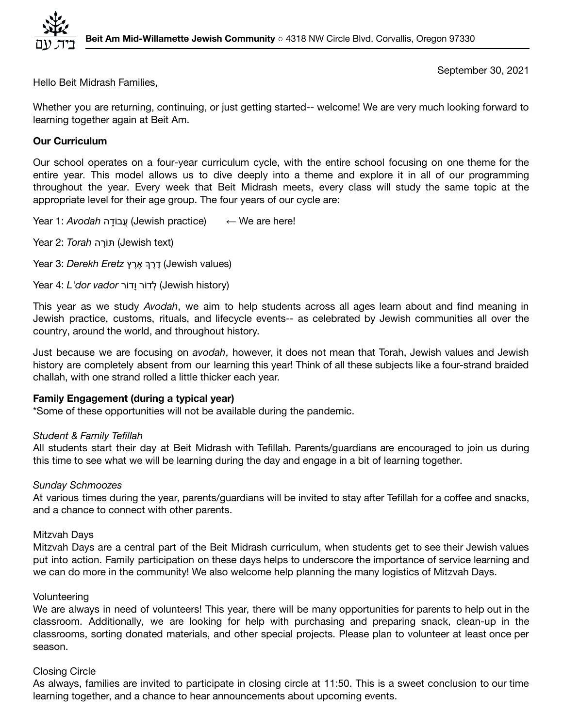

September 30, 2021

Hello Beit Midrash Families,

Whether you are returning, continuing, or just getting started-- welcome! We are very much looking forward to learning together again at Beit Am.

# **Our Curriculum**

Our school operates on a four-year curriculum cycle, with the entire school focusing on one theme for the entire year. This model allows us to dive deeply into a theme and explore it in all of our programming throughout the year. Every week that Beit Midrash meets, every class will study the same topic at the appropriate level for their age group. The four years of our cycle are:

Year 1: *Avodah* דהָ וֹעבֲ) Jewish practice) ← We are here!

Year 2: *Torah* רהָוֹתּ) Jewish text)

(values Jewish (ֶדֶרְך ֶאֶרץ *Eretz Derekh* 3: Year

Year 4: *L'dor vador* ורֹדָו ורֹלדְ) Jewish history)

This year as we study *Avodah*, we aim to help students across all ages learn about and find meaning in Jewish practice, customs, rituals, and lifecycle events-- as celebrated by Jewish communities all over the country, around the world, and throughout history.

Just because we are focusing on *avodah*, however, it does not mean that Torah, Jewish values and Jewish history are completely absent from our learning this year! Think of all these subjects like a four-strand braided challah, with one strand rolled a little thicker each year.

# **Family Engagement (during a typical year)**

\*Some of these opportunities will not be available during the pandemic.

### *Student & Family Tefillah*

All students start their day at Beit Midrash with Tefillah. Parents/guardians are encouraged to join us during this time to see what we will be learning during the day and engage in a bit of learning together.

### *Sunday Schmoozes*

At various times during the year, parents/guardians will be invited to stay after Tefillah for a coffee and snacks, and a chance to connect with other parents.

### Mitzvah Days

Mitzvah Days are a central part of the Beit Midrash curriculum, when students get to see their Jewish values put into action. Family participation on these days helps to underscore the importance of service learning and we can do more in the community! We also welcome help planning the many logistics of Mitzvah Days.

### Volunteering

We are always in need of volunteers! This year, there will be many opportunities for parents to help out in the classroom. Additionally, we are looking for help with purchasing and preparing snack, clean-up in the classrooms, sorting donated materials, and other special projects. Please plan to volunteer at least once per season.

# Closing Circle

As always, families are invited to participate in closing circle at 11:50. This is a sweet conclusion to our time learning together, and a chance to hear announcements about upcoming events.